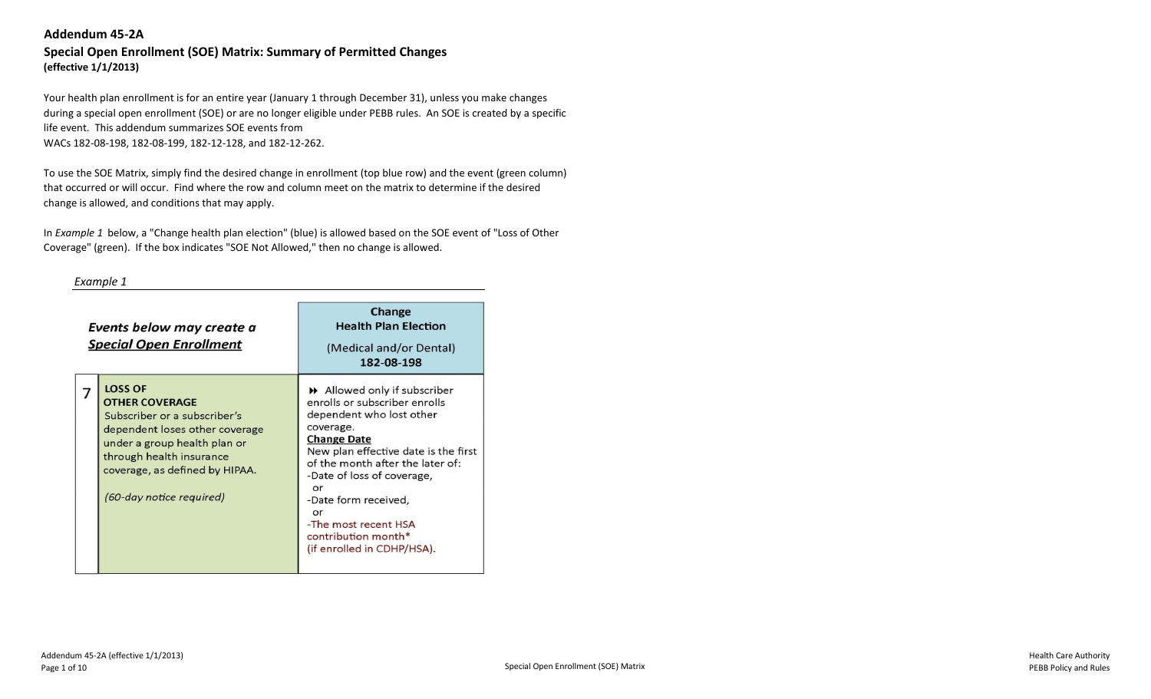# **Special Open Enrollment (SOE) Matrix: Summary of Permitted Changes (effective 1/1/2013)**

Your health plan enrollment is for an entire year (January 1 through December 31), unless you make changes during a special open enrollment (SOE) or are no longer eligible under PEBB rules. An SOE is created by a specific life event. This addendum summarizes SOE events from WACs 182-08-198, 182-08-199, 182-12-128, and 182-12-262.

To use the SOE Matrix, simply find the desired change in enrollment (top blue row) and the event (green column) that occurred or will occur. Find where the row and column meet on the matrix to determine if the desired change is allowed, and conditions that may apply.

In *Example 1* below, a "Change health plan election" (blue) is allowed based on the SOE event of "Loss of Other Coverage" (green). If the box indicates "SOE Not Allowed," then no change is allowed.

#### *Example 1*

| Events below may create a<br><b>Special Open Enrollment</b>                                                                                                                                                                         | Change<br><b>Health Plan Election</b><br>(Medical and/or Dental)<br>182-08-198                                                                                                                                                                                                                                                                                      |
|-------------------------------------------------------------------------------------------------------------------------------------------------------------------------------------------------------------------------------------|---------------------------------------------------------------------------------------------------------------------------------------------------------------------------------------------------------------------------------------------------------------------------------------------------------------------------------------------------------------------|
| <b>LOSS OF</b><br><b>OTHER COVERAGE</b><br>Subscriber or a subscriber's<br>dependent loses other coverage<br>under a group health plan or<br>through health insurance<br>coverage, as defined by HIPAA.<br>(60-day notice required) | $\rightarrow$ Allowed only if subscriber<br>enrolls or subscriber enrolls<br>dependent who lost other<br>coverage.<br><b>Change Date</b><br>New plan effective date is the first<br>of the month after the later of:<br>-Date of loss of coverage,<br>or<br>-Date form received,<br>or<br>-The most recent HSA<br>contribution month*<br>(if enrolled in CDHP/HSA). |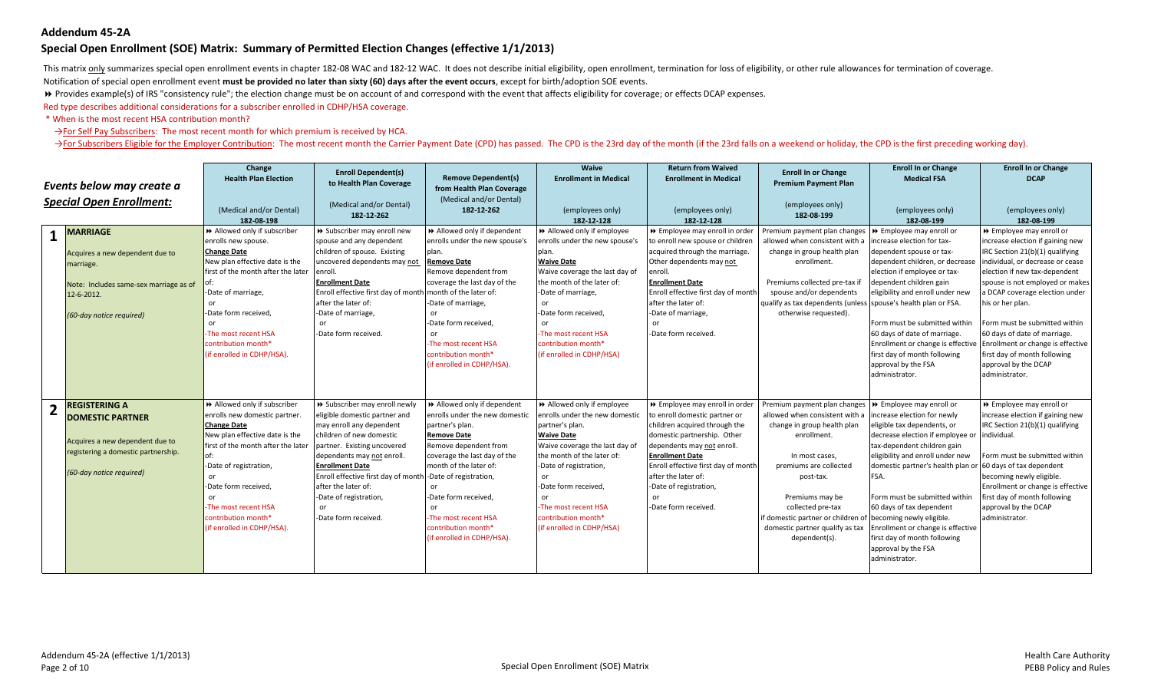#### **Special Open Enrollment (SOE) Matrix: Summary of Permitted Election Changes (effective 1/1/2013)**

This matrix only summarizes special open enrollment events in chapter 182-08 WAC and 182-12 WAC. It does not describe initial eligibility, open enrollment, termination for loss of eligibility, or other rule allowances for

Notification of special open enrollment event **must be provided no later than sixty (60) days after the event occurs**, except for birth/adoption SOE events.

**▶** Provides example(s) of IRS "consistency rule"; the election change must be on account of and correspond with the event that affects eligibility for coverage; or effects DCAP expenses.

Red type describes additional considerations for a subscriber enrolled in CDHP/HSA coverage.

\* When is the most recent HSA contribution month?

→For Self Pay Subscribers: The most recent month for which premium is received by HCA.

> For Subscribers Eligible for the Employer Contribution: The most recent month the Carrier Payment Date (CPD) has passed. The CPD is the 23rd day of the month (if the 23rd falls on a weekend or holiday, the CPD is the fir

| Events below may create a<br><b>Special Open Enrollment:</b> |                                                                                                                                                       | Change<br><b>Health Plan Election</b><br>(Medical and/or Dental)<br>182-08-198                                                                                                                                                                                                                                | <b>Enroll Dependent(s)</b><br>to Health Plan Coverage<br>(Medical and/or Dental)<br>182-12-262                                                                                                                                                                                                                                                                         | <b>Remove Dependent(s)</b><br>from Health Plan Coverage<br>(Medical and/or Dental)<br>182-12-262                                                                                                                                                                                                            | Waive<br><b>Enrollment in Medical</b><br>(employees only)<br>182-12-128                                                                                                                                                                                                                                                 | <b>Return from Waived</b><br><b>Enrollment in Medical</b><br>(employees only)<br>182-12-128                                                                                                                                                                                                                    | <b>Enroll In or Change</b><br><b>Premium Payment Plan</b><br>(employees only)<br>182-08-199                                                                                                                                                                                                                                      | <b>Enroll In or Change</b><br><b>Medical FSA</b><br>(employees only)<br>182-08-199                                                                                                                                                                                                                                                                                                                                                                         | <b>Enroll In or Change</b><br><b>DCAP</b><br>(employees only)<br>182-08-199                                                                                                                                                                                                                                                                                                                                                                                                     |
|--------------------------------------------------------------|-------------------------------------------------------------------------------------------------------------------------------------------------------|---------------------------------------------------------------------------------------------------------------------------------------------------------------------------------------------------------------------------------------------------------------------------------------------------------------|------------------------------------------------------------------------------------------------------------------------------------------------------------------------------------------------------------------------------------------------------------------------------------------------------------------------------------------------------------------------|-------------------------------------------------------------------------------------------------------------------------------------------------------------------------------------------------------------------------------------------------------------------------------------------------------------|-------------------------------------------------------------------------------------------------------------------------------------------------------------------------------------------------------------------------------------------------------------------------------------------------------------------------|----------------------------------------------------------------------------------------------------------------------------------------------------------------------------------------------------------------------------------------------------------------------------------------------------------------|----------------------------------------------------------------------------------------------------------------------------------------------------------------------------------------------------------------------------------------------------------------------------------------------------------------------------------|------------------------------------------------------------------------------------------------------------------------------------------------------------------------------------------------------------------------------------------------------------------------------------------------------------------------------------------------------------------------------------------------------------------------------------------------------------|---------------------------------------------------------------------------------------------------------------------------------------------------------------------------------------------------------------------------------------------------------------------------------------------------------------------------------------------------------------------------------------------------------------------------------------------------------------------------------|
| $\mathbf{1}$                                                 | <b>MARRIAGE</b><br>Acquires a new dependent due to<br>marriage.<br>Note: Includes same-sex marriage as of<br>12-6-2012.<br>(60-day notice required)   | Allowed only if subscriber<br>enrolls new spouse.<br><b>Change Date</b><br>New plan effective date is the<br>first of the month after the later<br>-Date of marriage,<br>or<br>-Date form received,<br>or<br>The most recent HSA<br>contribution month*<br>(if enrolled in CDHP/HSA).                         | >> Subscriber may enroll new<br>spouse and any dependent<br>children of spouse. Existing<br>uncovered dependents may not<br>enroll.<br><b>Enrollment Date</b><br>Enroll effective first day of month month of the later of:<br>after the later of:<br>-Date of marriage,<br>or<br>-Date form received.                                                                 | >> Allowed only if dependent<br>enrolls under the new spouse's<br>plan.<br><b>Remove Date</b><br>Remove dependent from<br>coverage the last day of the<br>-Date of marriage,<br>or.<br>-Date form received,<br>or<br>-The most recent HSA<br>contribution month*<br>(if enrolled in CDHP/HSA).              | Allowed only if employee<br>enrolls under the new spouse's<br>plan.<br><b>Waive Date</b><br>Waive coverage the last day of<br>the month of the later of:<br>-Date of marriage,<br><sub>or</sub><br>-Date form received.<br><sub>or</sub><br>-The most recent HSA<br>contribution month*<br>(if enrolled in CDHP/HSA)    | >> Employee may enroll in order<br>to enroll new spouse or children<br>acquired through the marriage.<br>Other dependents may not<br>enroll.<br><b>Enrollment Date</b><br>Enroll effective first day of month<br>after the later of:<br>-Date of marriage,<br>or<br>-Date form received.                       | Premium payment plan changes<br>allowed when consistent with a<br>change in group health plan<br>enrollment.<br>Premiums collected pre-tax if<br>spouse and/or dependents<br>qualify as tax dependents (unless spouse's health plan or FSA.<br>otherwise requested).                                                             | ▶ Employee may enroll or<br>increase election for tax-<br>dependent spouse or tax-<br>dependent children, or decrease<br>election if employee or tax-<br>dependent children gain<br>eligibility and enroll under new<br>Form must be submitted within<br>60 days of date of marriage.<br>first day of month following<br>approval by the FSA<br>administrator.                                                                                             | ▶ Employee may enroll or<br>increase election if gaining new<br>IRC Section 21(b)(1) qualifying<br>individual, or decrease or cease<br>election if new tax-dependent<br>spouse is not employed or makes<br>a DCAP coverage election under<br>his or her plan.<br>Form must be submitted within<br>60 days of date of marriage.<br>Enrollment or change is effective Enrollment or change is effective<br>first day of month following<br>approval by the DCAP<br>administrator. |
| $\overline{2}$                                               | <b>REGISTERING A</b><br><b>DOMESTIC PARTNER</b><br>Acquires a new dependent due to<br>registering a domestic partnership.<br>(60-day notice required) | >> Allowed only if subscriber<br>enrolls new domestic partner.<br><b>Change Date</b><br>New plan effective date is the<br>first of the month after the later<br>-Date of registration,<br><b>or</b><br>-Date form received,<br>or<br>The most recent HSA<br>contribution month*<br>(if enrolled in CDHP/HSA). | >> Subscriber may enroll newly<br>eligible domestic partner and<br>may enroll any dependent<br>children of new domestic<br>partner. Existing uncovered<br>dependents may not enroll.<br><b>Enrollment Date</b><br>Enroll effective first day of month -Date of registration,<br>after the later of:<br>-Date of registration,<br><sub>or</sub><br>-Date form received. | >> Allowed only if dependent<br>enrolls under the new domestic<br>partner's plan.<br><b>Remove Date</b><br>Remove dependent from<br>coverage the last day of the<br>month of the later of:<br>or<br>-Date form received,<br>or<br>-The most recent HSA<br>contribution month*<br>(if enrolled in CDHP/HSA). | Allowed only if employee<br>enrolls under the new domestic<br>partner's plan.<br><b>Waive Date</b><br>Waive coverage the last day of<br>the month of the later of:<br>-Date of registration,<br><sub>or</sub><br>-Date form received.<br>or<br>-The most recent HSA<br>contribution month*<br>(if enrolled in CDHP/HSA) | >> Employee may enroll in order<br>to enroll domestic partner or<br>children acquired through the<br>domestic partnership. Other<br>dependents may not enroll.<br><b>Enrollment Date</b><br>Enroll effective first day of month<br>after the later of:<br>-Date of registration,<br>or<br>-Date form received. | Premium payment plan changes<br>allowed when consistent with a<br>change in group health plan<br>enrollment.<br>In most cases,<br>premiums are collected<br>post-tax.<br>Premiums may be<br>collected pre-tax<br>if domestic partner or children of becoming newly eligible.<br>domestic partner qualify as tax<br>dependent(s). | ▶ Employee may enroll or<br>increase election for newly<br>eligible tax dependents, or<br>decrease election if employee or individual.<br>tax-dependent children gain<br>eligibility and enroll under new<br>domestic partner's health plan or 60 days of tax dependent<br>FSA.<br>Form must be submitted within<br>60 days of tax dependent<br>Enrollment or change is effective<br>first day of month following<br>approval by the FSA<br>administrator. | ▶ Employee may enroll or<br>increase election if gaining new<br>IRC Section 21(b)(1) qualifying<br>Form must be submitted within<br>becoming newly eligible.<br>Enrollment or change is effective<br>first day of month following<br>approval by the DCAP<br>administrator.                                                                                                                                                                                                     |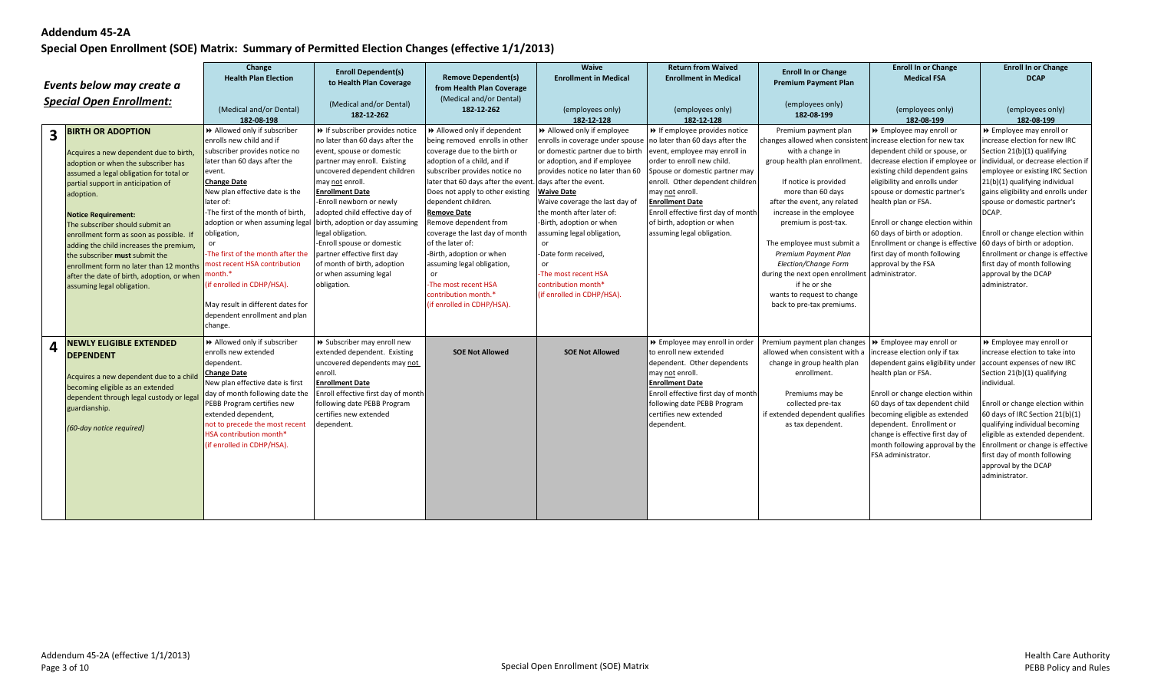|   | Events below may create a<br><b>Special Open Enrollment:</b>                                                                                                                                                                                                                                                                                                                                                                                                                                                            | Change<br><b>Health Plan Election</b><br>(Medical and/or Dental)<br>182-08-198                                                                                                                                                                                                                                                                                                                                                                                                                  | <b>Enroll Dependent(s)</b><br>to Health Plan Coverage<br>(Medical and/or Dental)<br>182-12-262                                                                                                                                                                                                                                                                                                                                                                         | <b>Remove Dependent(s)</b><br>from Health Plan Coverage<br>(Medical and/or Dental)<br>182-12-262                                                                                                                                                                                                                                                                                                                                                                                                                                                    | Waive<br><b>Enrollment in Medical</b><br>(employees only)<br>182-12-128                                                                                                                                                                                                                                                                                                                                                                                               | <b>Return from Waived</b><br><b>Enrollment in Medical</b><br>(employees only)<br>182-12-128                                                                                                                                                                                                                        | <b>Enroll In or Change</b><br><b>Premium Payment Plan</b><br>(employees only)<br>182-08-199                                                                                                                                                                                                                                                                                                                                                                                           | <b>Enroll In or Change</b><br><b>Medical FSA</b><br>(employees only)<br>182-08-199                                                                                                                                                                                                                                                                                                       | <b>Enroll In or Change</b><br><b>DCAP</b><br>(employees only)<br>182-08-199                                                                                                                                                                                                                                                                                                                                                                                                |
|---|-------------------------------------------------------------------------------------------------------------------------------------------------------------------------------------------------------------------------------------------------------------------------------------------------------------------------------------------------------------------------------------------------------------------------------------------------------------------------------------------------------------------------|-------------------------------------------------------------------------------------------------------------------------------------------------------------------------------------------------------------------------------------------------------------------------------------------------------------------------------------------------------------------------------------------------------------------------------------------------------------------------------------------------|------------------------------------------------------------------------------------------------------------------------------------------------------------------------------------------------------------------------------------------------------------------------------------------------------------------------------------------------------------------------------------------------------------------------------------------------------------------------|-----------------------------------------------------------------------------------------------------------------------------------------------------------------------------------------------------------------------------------------------------------------------------------------------------------------------------------------------------------------------------------------------------------------------------------------------------------------------------------------------------------------------------------------------------|-----------------------------------------------------------------------------------------------------------------------------------------------------------------------------------------------------------------------------------------------------------------------------------------------------------------------------------------------------------------------------------------------------------------------------------------------------------------------|--------------------------------------------------------------------------------------------------------------------------------------------------------------------------------------------------------------------------------------------------------------------------------------------------------------------|---------------------------------------------------------------------------------------------------------------------------------------------------------------------------------------------------------------------------------------------------------------------------------------------------------------------------------------------------------------------------------------------------------------------------------------------------------------------------------------|------------------------------------------------------------------------------------------------------------------------------------------------------------------------------------------------------------------------------------------------------------------------------------------------------------------------------------------------------------------------------------------|----------------------------------------------------------------------------------------------------------------------------------------------------------------------------------------------------------------------------------------------------------------------------------------------------------------------------------------------------------------------------------------------------------------------------------------------------------------------------|
| 3 | <b>BIRTH OR ADOPTION</b><br>Acquires a new dependent due to birth,<br>adoption or when the subscriber has<br>assumed a legal obligation for total or<br>partial support in anticipation of<br>adoption.<br><b>Notice Requirement:</b><br>The subscriber should submit an<br>enrollment form as soon as possible. If<br>adding the child increases the premium,<br>the subscriber must submit the<br>enrollment form no later than 12 months<br>after the date of birth, adoption, or when<br>assuming legal obligation. | >> Allowed only if subscriber<br>enrolls new child and if<br>subscriber provides notice no<br>later than 60 days after the<br>event.<br><b>Change Date</b><br>New plan effective date is the<br>later of:<br>-The first of the month of birth,<br>adoption or when assuming legal<br>obligation,<br>-The first of the month after the<br>most recent HSA contribution<br>month.*<br>(if enrolled in CDHP/HSA).<br>May result in different dates for<br>dependent enrollment and plan<br>change. | → If subscriber provides notice<br>no later than 60 days after the<br>event, spouse or domestic<br>partner may enroll. Existing<br>uncovered dependent children<br>may not enroll.<br><b>Enrollment Date</b><br>Enroll newborn or newly<br>adopted child effective day of<br>birth, adoption or day assuming<br>legal obligation.<br>-Enroll spouse or domestic<br>partner effective first day<br>of month of birth, adoption<br>or when assuming legal<br>obligation. | >> Allowed only if dependent<br>being removed enrolls in other<br>coverage due to the birth or<br>adoption of a child, and if<br>subscriber provides notice no<br>later that 60 days after the event. days after the event.<br>Does not apply to other existing<br>dependent children.<br><b>Remove Date</b><br>Remove dependent from<br>coverage the last day of month<br>of the later of:<br>-Birth, adoption or when<br>assuming legal obligation,<br><sub>or</sub><br>The most recent HSA<br>contribution month.*<br>(if enrolled in CDHP/HSA). | >> Allowed only if employee<br>enrolls in coverage under spouse no later than 60 days after the<br>or domestic partner due to birth<br>or adoption, and if employee<br>provides notice no later than 60<br><b>Waive Date</b><br>Waive coverage the last day of<br>the month after later of:<br>-Birth, adoption or when<br>assuming legal obligation,<br>or<br>-Date form received,<br>or<br>The most recent HSA<br>contribution month*<br>(if enrolled in CDHP/HSA). | → If employee provides notice<br>event, employee may enroll in<br>order to enroll new child.<br>Spouse or domestic partner may<br>enroll. Other dependent children<br>may not enroll.<br><b>Enrollment Date</b><br>Enroll effective first day of month<br>of birth, adoption or when<br>assuming legal obligation. | Premium payment plan<br>hanges allowed when consistent increase election for new tax<br>with a change in<br>group health plan enrollment<br>If notice is provided<br>more than 60 days<br>after the event, any related<br>increase in the employee<br>premium is post-tax.<br>The employee must submit a<br>Premium Payment Plan<br>Election/Change Form<br>during the next open enrollment administrator.<br>if he or she<br>wants to request to change<br>back to pre-tax premiums. | ▶ Employee may enroll or<br>dependent child or spouse, or<br>decrease election if employee or<br>existing child dependent gains<br>eligibility and enrolls under<br>spouse or domestic partner's<br>health plan or FSA.<br>Enroll or change election within<br>60 days of birth or adoption.<br>Enrollment or change is effective<br>first day of month following<br>approval by the FSA | >> Employee may enroll or<br>increase election for new IRC<br>Section 21(b)(1) qualifying<br>individual, or decrease election if<br>employee or existing IRC Section<br>21(b)(1) qualifying individual<br>gains eligibility and enrolls under<br>spouse or domestic partner's<br>DCAP.<br>Enroll or change election within<br>60 days of birth or adoption.<br>Enrollment or change is effective<br>first day of month following<br>approval by the DCAP<br>administrator. |
| 4 | <b>NEWLY ELIGIBLE EXTENDED</b><br><b>DEPENDENT</b><br>Acquires a new dependent due to a child<br>becoming eligible as an extended<br>dependent through legal custody or legal<br>guardianship.<br>(60-day notice required)                                                                                                                                                                                                                                                                                              | >> Allowed only if subscriber<br>enrolls new extended<br>dependent.<br><b>Change Date</b><br>New plan effective date is first<br>day of month following date the<br>PEBB Program certifies new<br>extended dependent,<br>not to precede the most recent<br>HSA contribution month*<br>(if enrolled in CDHP/HSA).                                                                                                                                                                                | >> Subscriber may enroll new<br>extended dependent. Existing<br>uncovered dependents may not<br>enroll.<br><b>Enrollment Date</b><br>Enroll effective first day of month<br>following date PEBB Program<br>certifies new extended<br>dependent.                                                                                                                                                                                                                        | <b>SOE Not Allowed</b>                                                                                                                                                                                                                                                                                                                                                                                                                                                                                                                              | <b>SOE Not Allowed</b>                                                                                                                                                                                                                                                                                                                                                                                                                                                | >> Employee may enroll in order<br>to enroll new extended<br>dependent. Other dependents<br>may not enroll.<br><b>Enrollment Date</b><br>Enroll effective first day of month<br>following date PEBB Program<br>certifies new extended<br>dependent.                                                                | Premium payment plan changes   ▶ Employee may enroll or<br>allowed when consistent with a<br>change in group health plan<br>enrollment.<br>Premiums may be<br>collected pre-tax<br>if extended dependent qualifies<br>as tax dependent.                                                                                                                                                                                                                                               | increase election only if tax<br>dependent gains eligibility under<br>health plan or FSA.<br>Enroll or change election within<br>60 days of tax dependent child<br>becoming eligible as extended<br>dependent. Enrollment or<br>change is effective first day of<br>month following approval by the<br>FSA administrator.                                                                | >> Employee may enroll or<br>increase election to take into<br>account expenses of new IRC<br>Section 21(b)(1) qualifying<br>individual.<br>Enroll or change election within<br>60 days of IRC Section 21(b)(1)<br>qualifying individual becoming<br>eligible as extended dependent.<br>Enrollment or change is effective<br>first day of month following<br>approval by the DCAP<br>administrator.                                                                        |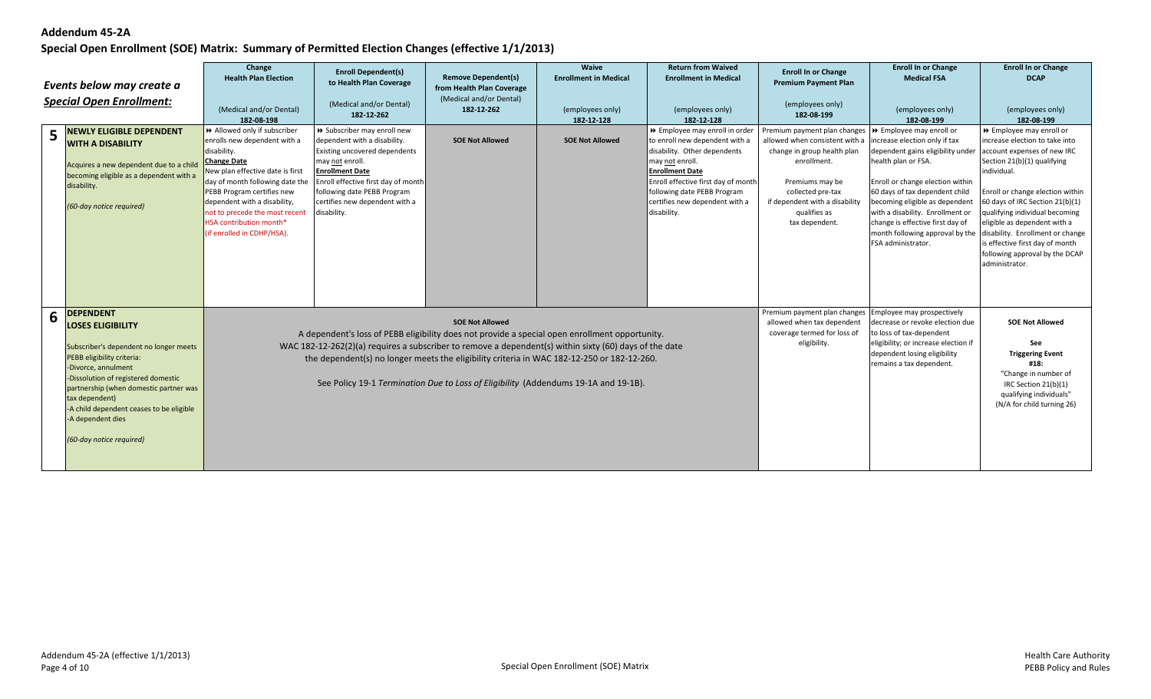| 5 | Events below may create a<br><b>Special Open Enrollment:</b><br><b>NEWLY ELIGIBLE DEPENDENT</b><br><b>WITH A DISABILITY</b><br>Acquires a new dependent due to a child<br>becoming eligible as a dependent with a<br>disability.<br>(60-day notice required)                                                                                | Change<br><b>Health Plan Election</b><br>(Medical and/or Dental)<br>182-08-198<br>>> Allowed only if subscriber<br>enrolls new dependent with a<br>disability.<br><b>Change Date</b><br>New plan effective date is first<br>day of month following date the<br>PEBB Program certifies new<br>dependent with a disability,<br>not to precede the most recent<br>HSA contribution month*<br>(if enrolled in CDHP/HSA). | <b>Enroll Dependent(s)</b><br>to Health Plan Coverage<br>(Medical and/or Dental)<br>182-12-262<br>>> Subscriber may enroll new<br>dependent with a disability.<br>Existing uncovered dependents<br>may not enroll.<br><b>Enrollment Date</b><br>Enroll effective first day of month<br>following date PEBB Program<br>certifies new dependent with a<br>disability.                           | <b>Remove Dependent(s)</b><br>from Health Plan Coverage<br>(Medical and/or Dental)<br>182-12-262<br><b>SOE Not Allowed</b> | Waive<br><b>Enrollment in Medical</b><br>(employees only)<br>182-12-128<br><b>SOE Not Allowed</b> | <b>Return from Waived</b><br><b>Enrollment in Medical</b><br>(employees only)<br>182-12-128<br>>> Employee may enroll in order<br>to enroll new dependent with a<br>disability. Other dependents<br>may not enroll.<br><b>Enrollment Date</b><br>Enroll effective first day of month<br>following date PEBB Program<br>certifies new dependent with a<br>disability. | <b>Enroll In or Change</b><br><b>Premium Payment Plan</b><br>(employees only)<br>182-08-199<br>Premium payment plan changes<br>allowed when consistent with a<br>change in group health plan<br>enrollment.<br>Premiums may be<br>collected pre-tax<br>if dependent with a disability<br>qualifies as<br>tax dependent. | <b>Enroll In or Change</b><br><b>Medical FSA</b><br>(employees only)<br>182-08-199<br>▶ Employee may enroll or<br>increase election only if tax<br>dependent gains eligibility under<br>health plan or FSA.<br>Enroll or change election within<br>60 days of tax dependent child<br>becoming eligible as dependent<br>with a disability. Enrollment or<br>change is effective first day of<br>month following approval by the disability. Enrollment or change<br>FSA administrator. | <b>Enroll In or Change</b><br><b>DCAP</b><br>(employees only)<br>182-08-199<br>>> Employee may enroll or<br>increase election to take into<br>account expenses of new IRC<br>Section 21(b)(1) qualifying<br>individual.<br>Enroll or change election within<br>60 days of IRC Section 21(b)(1)<br>qualifying individual becoming<br>eligible as dependent with a<br>is effective first day of month<br>following approval by the DCAP<br>administrator. |
|---|---------------------------------------------------------------------------------------------------------------------------------------------------------------------------------------------------------------------------------------------------------------------------------------------------------------------------------------------|----------------------------------------------------------------------------------------------------------------------------------------------------------------------------------------------------------------------------------------------------------------------------------------------------------------------------------------------------------------------------------------------------------------------|-----------------------------------------------------------------------------------------------------------------------------------------------------------------------------------------------------------------------------------------------------------------------------------------------------------------------------------------------------------------------------------------------|----------------------------------------------------------------------------------------------------------------------------|---------------------------------------------------------------------------------------------------|----------------------------------------------------------------------------------------------------------------------------------------------------------------------------------------------------------------------------------------------------------------------------------------------------------------------------------------------------------------------|-------------------------------------------------------------------------------------------------------------------------------------------------------------------------------------------------------------------------------------------------------------------------------------------------------------------------|---------------------------------------------------------------------------------------------------------------------------------------------------------------------------------------------------------------------------------------------------------------------------------------------------------------------------------------------------------------------------------------------------------------------------------------------------------------------------------------|---------------------------------------------------------------------------------------------------------------------------------------------------------------------------------------------------------------------------------------------------------------------------------------------------------------------------------------------------------------------------------------------------------------------------------------------------------|
| 6 | <b>DEPENDENT</b><br><b>LOSES ELIGIBILITY</b><br>Subscriber's dependent no longer meets<br>PEBB eligibility criteria:<br>-Divorce, annulment<br>-Dissolution of registered domestic<br>partnership (when domestic partner was<br>tax dependent)<br>-A child dependent ceases to be eligible<br>-A dependent dies<br>(60-day notice required) |                                                                                                                                                                                                                                                                                                                                                                                                                      | A dependent's loss of PEBB eligibility does not provide a special open enrollment opportunity.<br>WAC 182-12-262(2)(a) requires a subscriber to remove a dependent(s) within sixty (60) days of the date<br>the dependent(s) no longer meets the eligibility criteria in WAC 182-12-250 or 182-12-260.<br>See Policy 19-1 Termination Due to Loss of Eligibility (Addendums 19-1A and 19-1B). | <b>SOE Not Allowed</b>                                                                                                     |                                                                                                   |                                                                                                                                                                                                                                                                                                                                                                      | Premium payment plan changes Employee may prospectively<br>allowed when tax dependent<br>coverage termed for loss of<br>eligibility.                                                                                                                                                                                    | decrease or revoke election due<br>to loss of tax-dependent<br>eligibility; or increase election if<br>dependent losing eligibility<br>remains a tax dependent.                                                                                                                                                                                                                                                                                                                       | <b>SOE Not Allowed</b><br>See<br><b>Triggering Event</b><br>#18:<br>"Change in number of<br>IRC Section 21(b)(1)<br>qualifying individuals"<br>(N/A for child turning 26)                                                                                                                                                                                                                                                                               |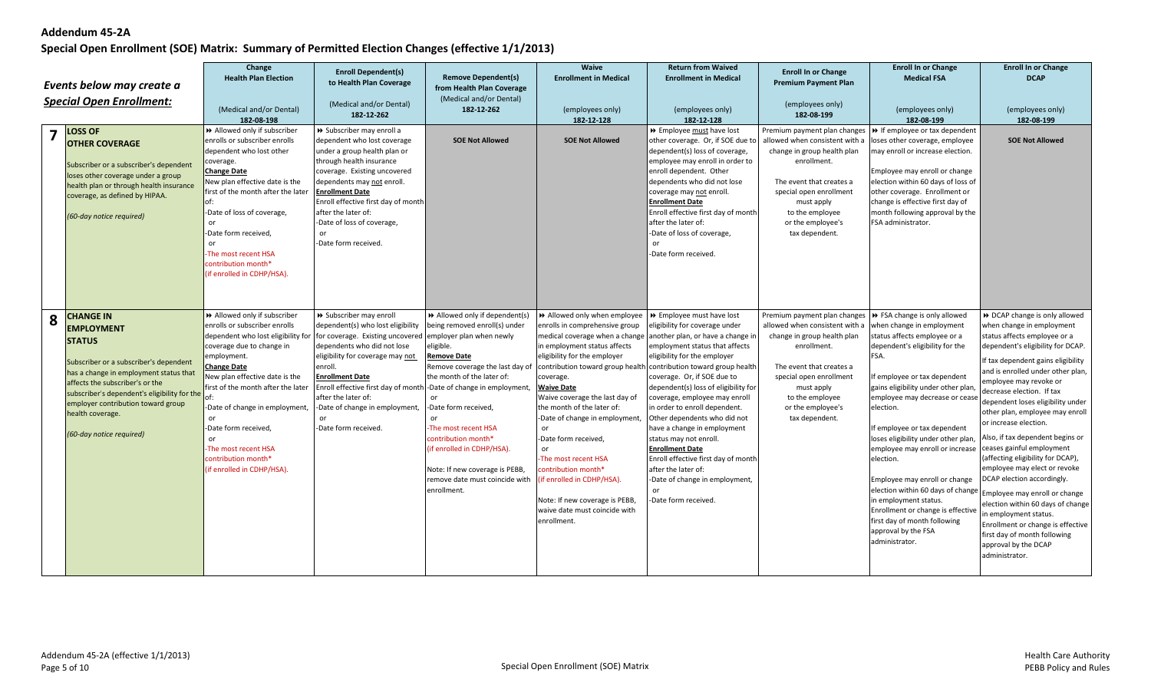|   | Events below may create a<br><b>Special Open Enrollment:</b><br><b>LOSS OF</b><br><b>OTHER COVERAGE</b><br>Subscriber or a subscriber's dependent<br>loses other coverage under a group<br>health plan or through health insurance<br>coverage, as defined by HIPAA.<br>(60-day notice required)                    | Change<br><b>Health Plan Election</b><br>(Medical and/or Dental)<br>182-08-198<br>>> Allowed only if subscriber<br>enrolls or subscriber enrolls<br>dependent who lost other<br>coverage.<br><b>Change Date</b><br>New plan effective date is the<br>first of the month after the later<br>of:<br>-Date of loss of coverage,<br>0r<br>-Date form received,<br>or<br>The most recent HSA<br>contribution month*<br>(if enrolled in CDHP/HSA). | <b>Enroll Dependent(s)</b><br>to Health Plan Coverage<br>(Medical and/or Dental)<br>182-12-262<br>> Subscriber may enroll a<br>dependent who lost coverage<br>under a group health plan or<br>through health insurance<br>coverage. Existing uncovered<br>dependents may not enroll.<br><b>Enrollment Date</b><br>Enroll effective first day of month<br>after the later of:<br>-Date of loss of coverage,<br>or<br>-Date form received. | <b>Remove Dependent(s)</b><br>from Health Plan Coverage<br>(Medical and/or Dental)<br>182-12-262<br><b>SOE Not Allowed</b>                                                                                                                                                                                                                                                                             | Waive<br><b>Enrollment in Medical</b><br>(employees only)<br>182-12-128<br><b>SOE Not Allowed</b>                                                                                                                                                                                                                                                                                                                                                                                              | <b>Return from Waived</b><br><b>Enrollment in Medical</b><br>(employees only)<br>182-12-128<br>▶ Employee must have lost<br>other coverage. Or, if SOE due to<br>dependent(s) loss of coverage,<br>employee may enroll in order to<br>enroll dependent. Other<br>dependents who did not lose<br>coverage may not enroll.<br><b>Enrollment Date</b><br>Enroll effective first day of month<br>after the later of:<br>-Date of loss of coverage,<br>-Date form received.                                                                                                                                                          | <b>Enroll In or Change</b><br><b>Premium Payment Plan</b><br>(employees only)<br>182-08-199<br>allowed when consistent with a<br>change in group health plan<br>enrollment.<br>The event that creates a<br>special open enrollment<br>must apply<br>to the employee<br>or the employee's<br>tax dependent. | <b>Enroll In or Change</b><br><b>Medical FSA</b><br>(employees only)<br>182-08-199<br>Premium payment plan changes $\triangleright$ If employee or tax dependent<br>loses other coverage, employee<br>may enroll or increase election.<br>Employee may enroll or change<br>election within 60 days of loss of<br>other coverage. Enrollment or<br>change is effective first day of<br>month following approval by the<br>FSA administrator.                                                                                                                   | <b>Enroll In or Change</b><br><b>DCAP</b><br>(employees only)<br>182-08-199<br><b>SOE Not Allowed</b>                                                                                                                                                                                                                                                                                                                                                                                                                                                                                                                                                                                                             |
|---|---------------------------------------------------------------------------------------------------------------------------------------------------------------------------------------------------------------------------------------------------------------------------------------------------------------------|----------------------------------------------------------------------------------------------------------------------------------------------------------------------------------------------------------------------------------------------------------------------------------------------------------------------------------------------------------------------------------------------------------------------------------------------|------------------------------------------------------------------------------------------------------------------------------------------------------------------------------------------------------------------------------------------------------------------------------------------------------------------------------------------------------------------------------------------------------------------------------------------|--------------------------------------------------------------------------------------------------------------------------------------------------------------------------------------------------------------------------------------------------------------------------------------------------------------------------------------------------------------------------------------------------------|------------------------------------------------------------------------------------------------------------------------------------------------------------------------------------------------------------------------------------------------------------------------------------------------------------------------------------------------------------------------------------------------------------------------------------------------------------------------------------------------|---------------------------------------------------------------------------------------------------------------------------------------------------------------------------------------------------------------------------------------------------------------------------------------------------------------------------------------------------------------------------------------------------------------------------------------------------------------------------------------------------------------------------------------------------------------------------------------------------------------------------------|------------------------------------------------------------------------------------------------------------------------------------------------------------------------------------------------------------------------------------------------------------------------------------------------------------|---------------------------------------------------------------------------------------------------------------------------------------------------------------------------------------------------------------------------------------------------------------------------------------------------------------------------------------------------------------------------------------------------------------------------------------------------------------------------------------------------------------------------------------------------------------|-------------------------------------------------------------------------------------------------------------------------------------------------------------------------------------------------------------------------------------------------------------------------------------------------------------------------------------------------------------------------------------------------------------------------------------------------------------------------------------------------------------------------------------------------------------------------------------------------------------------------------------------------------------------------------------------------------------------|
| 8 | <b>CHANGE IN</b><br><b>EMPLOYMENT</b><br><b>STATUS</b><br>Subscriber or a subscriber's dependent<br>has a change in employment status that<br>affects the subscriber's or the<br>subscriber's dependent's eligibility for the<br>employer contribution toward group<br>health coverage.<br>(60-day notice required) | >> Allowed only if subscriber<br>enrolls or subscriber enrolls<br>dependent who lost eligibility for<br>coverage due to change in<br>employment.<br><b>Change Date</b><br>New plan effective date is the<br>first of the month after the later<br>-Date of change in employment,<br>or<br>-Date form received,<br>or<br>The most recent HSA<br>contribution month*<br>(if enrolled in CDHP/HSA).                                             | > Subscriber may enroll<br>dependent(s) who lost eligibility<br>for coverage. Existing uncovered<br>dependents who did not lose<br>eligibility for coverage may not<br>enroll.<br><b>Enrollment Date</b><br>Enroll effective first day of month -Date of change in employment,<br>after the later of:<br>-Date of change in employment,<br><sub>or</sub><br>-Date form received.                                                         | Allowed only if dependent(s)<br>being removed enroll(s) under<br>employer plan when newly<br>eligible.<br><b>Remove Date</b><br>Remove coverage the last day of<br>the month of the later of:<br>-Date form received,<br><sub>or</sub><br>-The most recent HSA<br>contribution month*<br>(if enrolled in CDHP/HSA).<br>Note: If new coverage is PEBB,<br>remove date must coincide with<br>enrollment. | Allowed only when employee   >> Employee must have lost<br>enrolls in comprehensive group<br>in employment status affects<br>eligibility for the employer<br>coverage.<br><b>Waive Date</b><br>Waive coverage the last day of<br>the month of the later of:<br>-Date of change in employment,<br>or<br>-Date form received,<br>or<br>The most recent HSA<br>contribution month*<br>if enrolled in CDHP/HSA).<br>Note: If new coverage is PEBB,<br>waive date must coincide with<br>enrollment. | eligibility for coverage under<br>medical coverage when a change   another plan, or have a change in<br>employment status that affects<br>eligibility for the employer<br>contribution toward group health contribution toward group health<br>coverage. Or, if SOE due to<br>dependent(s) loss of eligibility for<br>coverage, employee may enroll<br>in order to enroll dependent.<br>Other dependents who did not<br>have a change in employment<br>status may not enroll.<br><b>Enrollment Date</b><br>Enroll effective first day of month<br>after the later of:<br>-Date of change in employment,<br>-Date form received. | Premium payment plan changes DD FSA change is only allowed<br>allowed when consistent with a when change in employment<br>change in group health plan<br>enrollment.<br>The event that creates a<br>special open enrollment<br>must apply<br>to the employee<br>or the employee's<br>tax dependent.        | status affects employee or a<br>dependent's eligibility for the<br>FSA.<br>If employee or tax dependent<br>gains eligibility under other plan<br>employee may decrease or cease<br>election.<br>If employee or tax dependent<br>loses eligibility under other plan<br>employee may enroll or increase<br>election.<br>Employee may enroll or change<br>election within 60 days of change Employee may enroll or change<br>in employment status.<br>Enrollment or change is effective<br>first day of month following<br>approval by the FSA<br>administrator. | DCAP change is only allowed<br>when change in employment<br>status affects employee or a<br>dependent's eligibility for DCAP.<br>If tax dependent gains eligibility<br>and is enrolled under other plan,<br>employee may revoke or<br>decrease election. If tax<br>dependent loses eligibility under<br>other plan, employee may enroll<br>or increase election.<br>Also, if tax dependent begins or<br>ceases gainful employment<br>(affecting eligibility for DCAP),<br>employee may elect or revoke<br>DCAP election accordingly.<br>election within 60 days of change<br>in employment status.<br>Enrollment or change is effective<br>first day of month following<br>approval by the DCAP<br>administrator. |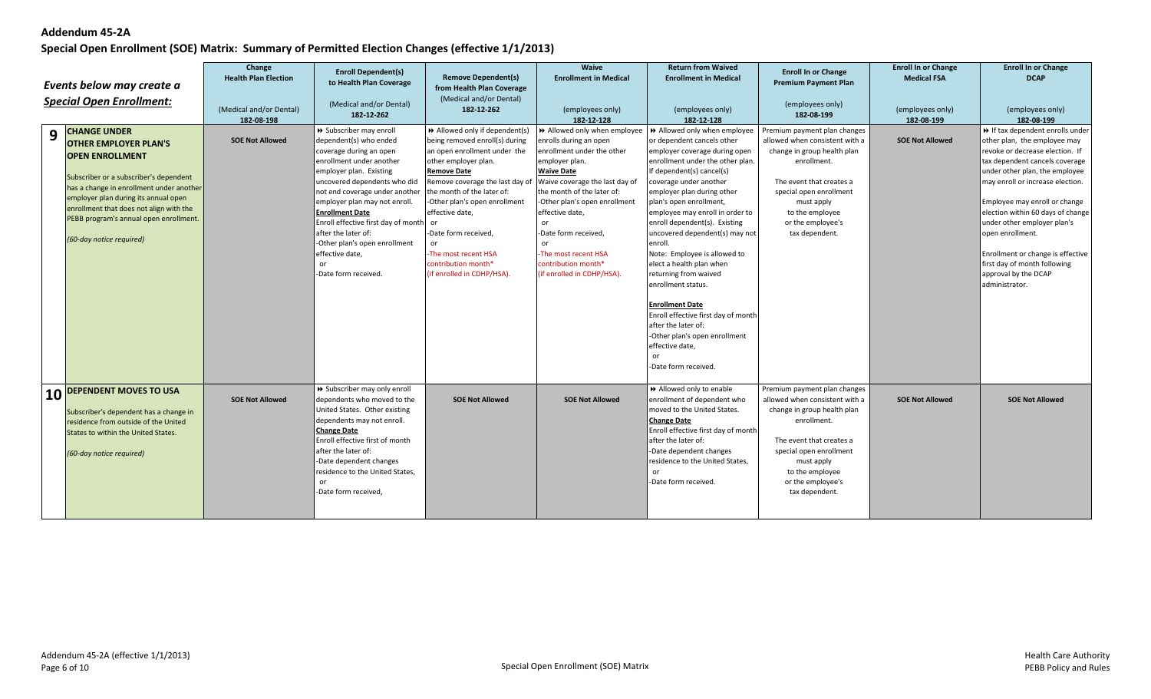| Events below may create a<br><b>Special Open Enrollment:</b> |                                                                                                                                                                                                                                                                                                                              | Change<br><b>Health Plan Election</b><br>(Medical and/or Dental)<br>182-08-198 | <b>Enroll Dependent(s)</b><br>to Health Plan Coverage<br>(Medical and/or Dental)<br>182-12-262                                                                                                                                                                                                                                                                                                                   | <b>Remove Dependent(s)</b><br>from Health Plan Coverage<br>(Medical and/or Dental)<br>182-12-262                                                                                                                                                                                                                                                                                | <b>Waive</b><br><b>Enrollment in Medical</b><br>(employees only)<br>182-12-128                                                                                                                                                                                                                                                                                    | <b>Return from Waived</b><br><b>Enrollment in Medical</b><br>(employees only)<br>182-12-128                                                                                                                                                                                                                                                                                                                                                                                                                                                                                                                                                      | <b>Enroll In or Change</b><br><b>Premium Payment Plan</b><br>(employees only)<br>182-08-199                                                                                                                                                 | <b>Enroll In or Change</b><br><b>Medical FSA</b><br>(employees only)<br>182-08-199 | <b>Enroll In or Change</b><br><b>DCAP</b><br>(employees only)<br>182-08-199                                                                                                                                                                                                                                                                                                                                                                          |
|--------------------------------------------------------------|------------------------------------------------------------------------------------------------------------------------------------------------------------------------------------------------------------------------------------------------------------------------------------------------------------------------------|--------------------------------------------------------------------------------|------------------------------------------------------------------------------------------------------------------------------------------------------------------------------------------------------------------------------------------------------------------------------------------------------------------------------------------------------------------------------------------------------------------|---------------------------------------------------------------------------------------------------------------------------------------------------------------------------------------------------------------------------------------------------------------------------------------------------------------------------------------------------------------------------------|-------------------------------------------------------------------------------------------------------------------------------------------------------------------------------------------------------------------------------------------------------------------------------------------------------------------------------------------------------------------|--------------------------------------------------------------------------------------------------------------------------------------------------------------------------------------------------------------------------------------------------------------------------------------------------------------------------------------------------------------------------------------------------------------------------------------------------------------------------------------------------------------------------------------------------------------------------------------------------------------------------------------------------|---------------------------------------------------------------------------------------------------------------------------------------------------------------------------------------------------------------------------------------------|------------------------------------------------------------------------------------|------------------------------------------------------------------------------------------------------------------------------------------------------------------------------------------------------------------------------------------------------------------------------------------------------------------------------------------------------------------------------------------------------------------------------------------------------|
| 9                                                            | <b>CHANGE UNDER</b><br><b>OTHER EMPLOYER PLAN'S</b><br><b>OPEN ENROLLMENT</b><br>Subscriber or a subscriber's dependent<br>has a change in enrollment under another<br>employer plan during its annual open<br>enrollment that does not align with the<br>PEBB program's annual open enrollment.<br>(60-day notice required) | <b>SOE Not Allowed</b>                                                         | > Subscriber may enroll<br>dependent(s) who ended<br>coverage during an open<br>enrollment under another<br>employer plan. Existing<br>uncovered dependents who did<br>not end coverage under another<br>employer plan may not enroll.<br><b>Enrollment Date</b><br>Enroll effective first day of month<br>after the later of:<br>-Other plan's open enrollment<br>effective date,<br>or<br>-Date form received. | >> Allowed only if dependent(s)<br>being removed enroll(s) during<br>an open enrollment under the<br>other employer plan.<br><b>Remove Date</b><br>Remove coverage the last day of<br>the month of the later of:<br>-Other plan's open enrollment<br>effective date,<br>or<br>-Date form received,<br>-The most recent HSA<br>contribution month*<br>(if enrolled in CDHP/HSA). | >> Allowed only when employee<br>enrolls during an open<br>enrollment under the other<br>employer plan.<br><b>Waive Date</b><br>Waive coverage the last day of<br>the month of the later of:<br>-Other plan's open enrollment<br>effective date,<br>or<br>-Date form received,<br>or<br>-The most recent HSA<br>contribution month*<br>(if enrolled in CDHP/HSA). | >> Allowed only when employee<br>or dependent cancels other<br>employer coverage during open<br>enrollment under the other plan.<br>If dependent(s) cancel(s)<br>coverage under another<br>employer plan during other<br>plan's open enrollment,<br>employee may enroll in order to<br>enroll dependent(s). Existing<br>uncovered dependent(s) may not<br>enroll.<br>Note: Employee is allowed to<br>elect a health plan when<br>returning from waived<br>enrollment status.<br><b>Enrollment Date</b><br>Enroll effective first day of month<br>after the later of:<br>-Other plan's open enrollment<br>effective date,<br>-Date form received. | Premium payment plan changes<br>allowed when consistent with a<br>change in group health plan<br>enrollment.<br>The event that creates a<br>special open enrollment<br>must apply<br>to the employee<br>or the employee's<br>tax dependent. | <b>SOE Not Allowed</b>                                                             | >> If tax dependent enrolls under<br>other plan, the employee may<br>revoke or decrease election. If<br>tax dependent cancels coverage<br>under other plan, the employee<br>may enroll or increase election.<br>Employee may enroll or change<br>election within 60 days of change<br>under other employer plan's<br>open enrollment.<br>Enrollment or change is effective<br>first day of month following<br>approval by the DCAP<br>administrator. |
| 10                                                           | <b>DEPENDENT MOVES TO USA</b><br>Subscriber's dependent has a change in<br>residence from outside of the United<br>States to within the United States.<br>(60-day notice required)                                                                                                                                           | <b>SOE Not Allowed</b>                                                         | >> Subscriber may only enroll<br>dependents who moved to the<br>United States. Other existing<br>dependents may not enroll.<br><b>Change Date</b><br>Enroll effective first of month<br>after the later of:<br>-Date dependent changes<br>residence to the United States,<br>or<br>-Date form received,                                                                                                          | <b>SOE Not Allowed</b>                                                                                                                                                                                                                                                                                                                                                          | <b>SOE Not Allowed</b>                                                                                                                                                                                                                                                                                                                                            | Allowed only to enable<br>enrollment of dependent who<br>moved to the United States.<br><b>Change Date</b><br>Enroll effective first day of month<br>after the later of:<br>-Date dependent changes<br>residence to the United States,<br>-Date form received.                                                                                                                                                                                                                                                                                                                                                                                   | Premium payment plan changes<br>allowed when consistent with a<br>change in group health plan<br>enrollment.<br>The event that creates a<br>special open enrollment<br>must apply<br>to the employee<br>or the employee's<br>tax dependent. | <b>SOE Not Allowed</b>                                                             | <b>SOE Not Allowed</b>                                                                                                                                                                                                                                                                                                                                                                                                                               |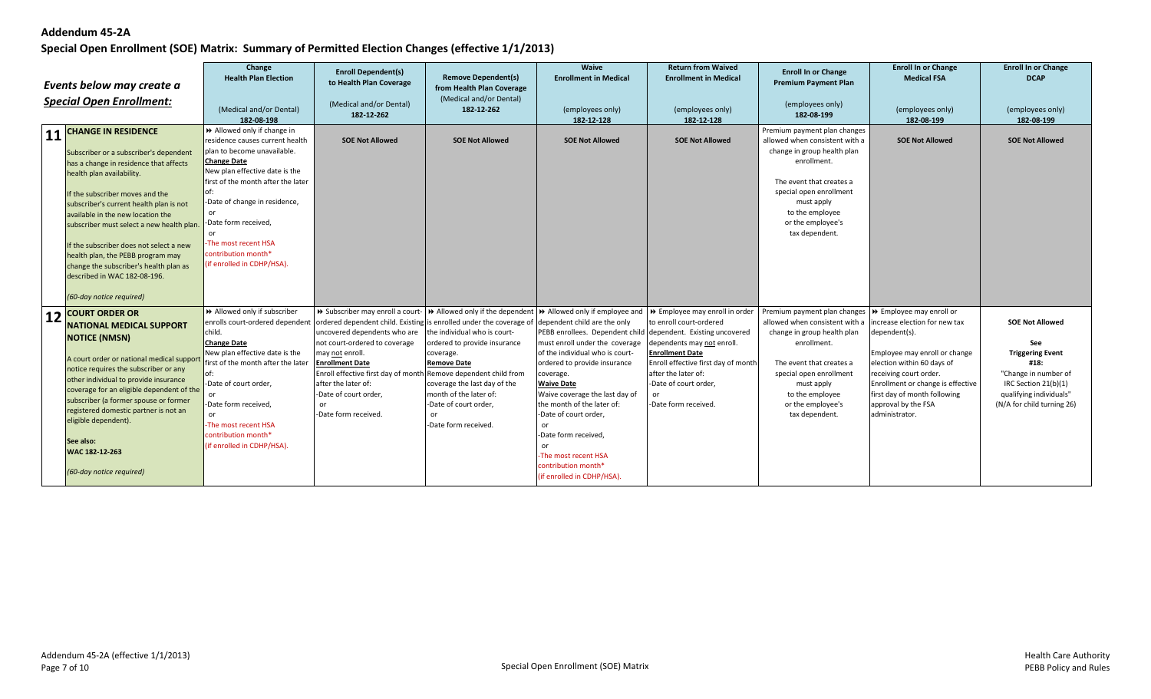|    | Events below may create a<br><b>Special Open Enrollment:</b>                                                                                                                                                                                                                                                                                                                                                                                                                                     | Change<br><b>Health Plan Election</b><br>(Medical and/or Dental)<br>182-08-198                                                                                                                                                                                                                                                                        | <b>Enroll Dependent(s)</b><br>to Health Plan Coverage<br>(Medical and/or Dental)<br>182-12-262                                                                                                                                                                                                                                                                                                       | <b>Remove Dependent(s)</b><br>from Health Plan Coverage<br>(Medical and/or Dental)<br>182-12-262                                                                                                                                                  | Waive<br><b>Enrollment in Medical</b><br>(employees only)<br>182-12-128                                                                                                                                                                                                                                                                                                                                                                        | <b>Return from Waived</b><br><b>Enrollment in Medical</b><br>(employees only)<br>182-12-128                                                                                                                                       | <b>Enroll In or Change</b><br><b>Premium Payment Plan</b><br>(employees only)<br>182-08-199                                                                                                                                                 | <b>Enroll In or Change</b><br><b>Medical FSA</b><br>(employees only)<br>182-08-199                                                                                                                                                                                               | <b>Enroll In or Change</b><br><b>DCAP</b><br>(employees only)<br>182-08-199                                                                                               |
|----|--------------------------------------------------------------------------------------------------------------------------------------------------------------------------------------------------------------------------------------------------------------------------------------------------------------------------------------------------------------------------------------------------------------------------------------------------------------------------------------------------|-------------------------------------------------------------------------------------------------------------------------------------------------------------------------------------------------------------------------------------------------------------------------------------------------------------------------------------------------------|------------------------------------------------------------------------------------------------------------------------------------------------------------------------------------------------------------------------------------------------------------------------------------------------------------------------------------------------------------------------------------------------------|---------------------------------------------------------------------------------------------------------------------------------------------------------------------------------------------------------------------------------------------------|------------------------------------------------------------------------------------------------------------------------------------------------------------------------------------------------------------------------------------------------------------------------------------------------------------------------------------------------------------------------------------------------------------------------------------------------|-----------------------------------------------------------------------------------------------------------------------------------------------------------------------------------------------------------------------------------|---------------------------------------------------------------------------------------------------------------------------------------------------------------------------------------------------------------------------------------------|----------------------------------------------------------------------------------------------------------------------------------------------------------------------------------------------------------------------------------------------------------------------------------|---------------------------------------------------------------------------------------------------------------------------------------------------------------------------|
| 11 | <b>CHANGE IN RESIDENCE</b><br>Subscriber or a subscriber's dependent<br>has a change in residence that affects<br>health plan availability.<br>If the subscriber moves and the<br>subscriber's current health plan is not<br>available in the new location the<br>subscriber must select a new health plan<br>If the subscriber does not select a new<br>health plan, the PEBB program may<br>change the subscriber's health plan as<br>described in WAC 182-08-196.<br>(60-day notice required) | Allowed only if change in<br>residence causes current health<br>plan to become unavailable.<br><b>Change Date</b><br>New plan effective date is the<br>first of the month after the later<br>-Date of change in residence,<br><sub>or</sub><br>-Date form received,<br>or<br>The most recent HSA<br>contribution month*<br>(if enrolled in CDHP/HSA). | <b>SOE Not Allowed</b>                                                                                                                                                                                                                                                                                                                                                                               | <b>SOE Not Allowed</b>                                                                                                                                                                                                                            | <b>SOE Not Allowed</b>                                                                                                                                                                                                                                                                                                                                                                                                                         | <b>SOE Not Allowed</b>                                                                                                                                                                                                            | Premium payment plan changes<br>allowed when consistent with a<br>change in group health plan<br>enrollment.<br>The event that creates a<br>special open enrollment<br>must apply<br>to the employee<br>or the employee's<br>tax dependent. | <b>SOE Not Allowed</b>                                                                                                                                                                                                                                                           | <b>SOE Not Allowed</b>                                                                                                                                                    |
| 12 | <b>COURT ORDER OR</b><br><b>NATIONAL MEDICAL SUPPORT</b><br><b>NOTICE (NMSN)</b><br>A court order or national medical support<br>notice requires the subscriber or any<br>other individual to provide insurance<br>coverage for an eligible dependent of the<br>subscriber (a former spouse or former<br>registered domestic partner is not an<br>eligible dependent).<br>See also:<br>WAC 182-12-263<br>(60-day notice required)                                                                | >> Allowed only if subscriber<br>enrolls court-ordered dependent<br>child.<br><b>Change Date</b><br>New plan effective date is the<br>first of the month after the later<br>-Date of court order,<br>-Date form received,<br>or<br>-The most recent HSA<br>contribution month*<br>(if enrolled in CDHP/HSA).                                          | >> Subscriber may enroll a court-<br>ordered dependent child. Existing is enrolled under the coverage of dependent child are the only<br>uncovered dependents who are<br>not court-ordered to coverage<br>may not enroll.<br><b>Enrollment Date</b><br>Enroll effective first day of month Remove dependent child from<br>after the later of:<br>-Date of court order,<br>or<br>-Date form received. | Allowed only if the dependent<br>the individual who is court-<br>ordered to provide insurance<br>coverage.<br><b>Remove Date</b><br>coverage the last day of the<br>month of the later of:<br>-Date of court order,<br>or<br>-Date form received. | Allowed only if employee and<br>PEBB enrollees. Dependent child dependent. Existing uncovered<br>must enroll under the coverage<br>of the individual who is court-<br>ordered to provide insurance<br>coverage.<br><b>Waive Date</b><br>Waive coverage the last day of<br>the month of the later of:<br>-Date of court order,<br>or<br>-Date form received,<br>or<br>-The most recent HSA<br>contribution month*<br>(if enrolled in CDHP/HSA). | >> Employee may enroll in order<br>to enroll court-ordered<br>dependents may not enroll.<br><b>Enrollment Date</b><br>Enroll effective first day of month<br>after the later of:<br>-Date of court order,<br>-Date form received. | Premium payment plan changes<br>allowed when consistent with a<br>change in group health plan<br>enrollment.<br>The event that creates a<br>special open enrollment<br>must apply<br>to the employee<br>or the employee's<br>tax dependent. | → Employee may enroll or<br>ncrease election for new tax<br>dependent(s).<br>Employee may enroll or change<br>election within 60 days of<br>receiving court order.<br>Enrollment or change is effective<br>first day of month following<br>approval by the FSA<br>administrator. | <b>SOE Not Allowed</b><br>See<br><b>Triggering Event</b><br>#18:<br>"Change in number of<br>IRC Section 21(b)(1)<br>qualifying individuals"<br>(N/A for child turning 26) |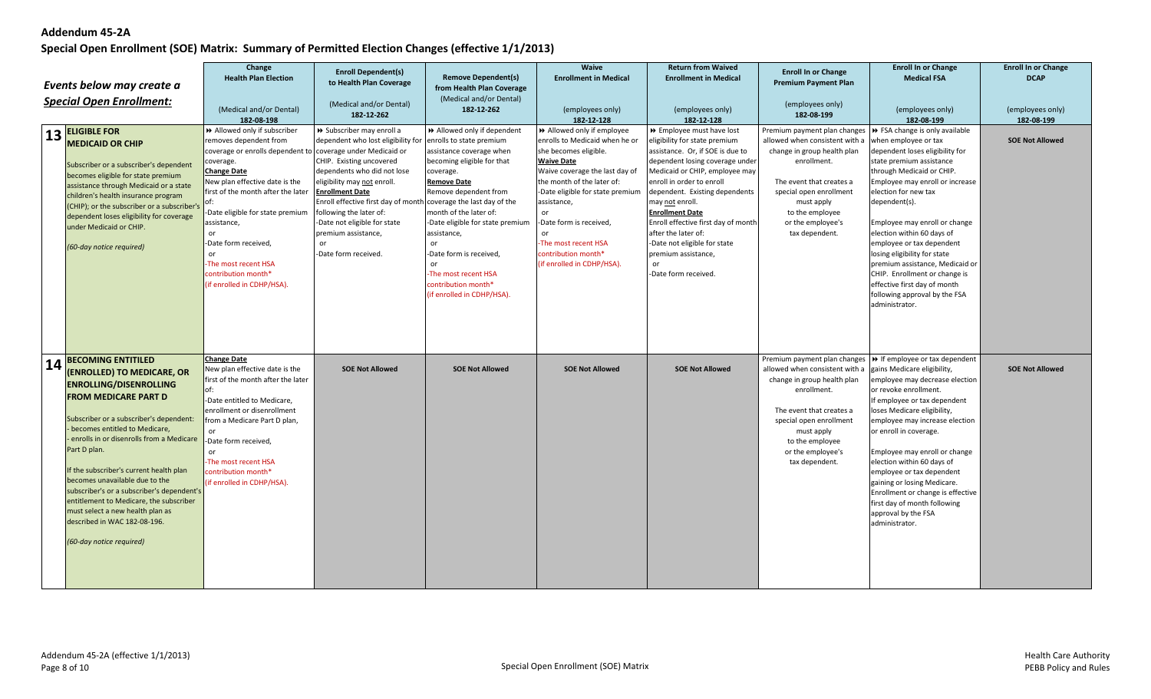|    |                                                                  | Change                                                      | <b>Enroll Dependent(s)</b>                                                                 |                                       | Waive                            | <b>Return from Waived</b>                 | <b>Enroll In or Change</b>                                                 | <b>Enroll In or Change</b>                                                 | <b>Enroll In or Change</b>     |
|----|------------------------------------------------------------------|-------------------------------------------------------------|--------------------------------------------------------------------------------------------|---------------------------------------|----------------------------------|-------------------------------------------|----------------------------------------------------------------------------|----------------------------------------------------------------------------|--------------------------------|
|    |                                                                  | <b>Health Plan Election</b>                                 | to Health Plan Coverage                                                                    | <b>Remove Dependent(s)</b>            | <b>Enrollment in Medical</b>     | <b>Enrollment in Medical</b>              | <b>Premium Payment Plan</b>                                                | <b>Medical FSA</b>                                                         | <b>DCAP</b>                    |
|    | Events below may create a                                        |                                                             |                                                                                            | from Health Plan Coverage             |                                  |                                           |                                                                            |                                                                            |                                |
|    | <b>Special Open Enrollment:</b>                                  |                                                             | (Medical and/or Dental)                                                                    | (Medical and/or Dental)<br>182-12-262 |                                  |                                           | (employees only)                                                           |                                                                            |                                |
|    |                                                                  | (Medical and/or Dental)<br>182-08-198                       | 182-12-262                                                                                 |                                       | (employees only)<br>182-12-128   | (employees only)<br>182-12-128            | 182-08-199                                                                 | (employees only)<br>182-08-199                                             | (employees only)<br>182-08-199 |
|    | $13$ <b>ELIGIBLE FOR</b>                                         | >> Allowed only if subscriber                               | > Subscriber may enroll a                                                                  | >> Allowed only if dependent          | >> Allowed only if employee      | >> Employee must have lost                | Premium payment plan changes $\triangleright$ FSA change is only available |                                                                            |                                |
|    | <b>MEDICAID OR CHIP</b>                                          | removes dependent from                                      | dependent who lost eligibility for                                                         | enrolls to state premium              | enrolls to Medicaid when he or   | eligibility for state premium             | allowed when consistent with a                                             | when employee or tax                                                       | <b>SOE Not Allowed</b>         |
|    |                                                                  | coverage or enrolls dependent to coverage under Medicaid or |                                                                                            | assistance coverage when              | she becomes eligible.            | assistance. Or, if SOE is due to          | change in group health plan                                                | dependent loses eligibility for                                            |                                |
|    | Subscriber or a subscriber's dependent                           | coverage.                                                   | CHIP. Existing uncovered                                                                   | becoming eligible for that            | <b>Waive Date</b>                | dependent losing coverage under           | enrollment.                                                                | state premium assistance                                                   |                                |
|    | becomes eligible for state premium                               | <b>Change Date</b>                                          | dependents who did not lose                                                                | coverage.                             | Waive coverage the last day of   | Medicaid or CHIP, employee may            |                                                                            | through Medicaid or CHIP.                                                  |                                |
|    | assistance through Medicaid or a state                           | New plan effective date is the                              | eligibility may not enroll.                                                                | <b>Remove Date</b>                    | the month of the later of:       | enroll in order to enroll                 | The event that creates a                                                   | Employee may enroll or increase                                            |                                |
|    | children's health insurance program                              | first of the month after the later                          | <b>Enrollment Date</b><br>Enroll effective first day of month coverage the last day of the | Remove dependent from                 | -Date eligible for state premium | dependent. Existing dependents            | special open enrollment                                                    | election for new tax<br>dependent(s).                                      |                                |
|    | (CHIP); or the subscriber or a subscriber's                      | Date eligible for state premium                             | following the later of:                                                                    | month of the later of:                | assistance,<br>or                | may not enroll.<br><b>Enrollment Date</b> | must apply<br>to the employee                                              |                                                                            |                                |
|    | dependent loses eligibility for coverage                         | assistance,                                                 | Date not eligible for state                                                                | -Date eligible for state premium      | -Date form is received,          | Enroll effective first day of month       | or the employee's                                                          | Employee may enroll or change                                              |                                |
|    | under Medicaid or CHIP.                                          | or                                                          | premium assistance,                                                                        | assistance,                           | <sub>or</sub>                    | after the later of:                       | tax dependent.                                                             | election within 60 days of                                                 |                                |
|    | (60-day notice required)                                         | -Date form received,                                        | or                                                                                         | or                                    | The most recent HSA              | -Date not eligible for state              |                                                                            | employee or tax dependent                                                  |                                |
|    |                                                                  | or                                                          | Date form received.                                                                        | -Date form is received,               | contribution month*              | premium assistance,                       |                                                                            | losing eligibility for state                                               |                                |
|    |                                                                  | The most recent HSA                                         |                                                                                            | or                                    | (if enrolled in CDHP/HSA).       | $\cap$ r                                  |                                                                            | premium assistance, Medicaid or                                            |                                |
|    |                                                                  | contribution month*                                         |                                                                                            | The most recent HSA                   |                                  | -Date form received.                      |                                                                            | CHIP. Enrollment or change is                                              |                                |
|    |                                                                  | (if enrolled in CDHP/HSA).                                  |                                                                                            | contribution month*                   |                                  |                                           |                                                                            | effective first day of month                                               |                                |
|    |                                                                  |                                                             |                                                                                            | (if enrolled in CDHP/HSA).            |                                  |                                           |                                                                            | following approval by the FSA                                              |                                |
|    |                                                                  |                                                             |                                                                                            |                                       |                                  |                                           |                                                                            | administrator.                                                             |                                |
|    |                                                                  |                                                             |                                                                                            |                                       |                                  |                                           |                                                                            |                                                                            |                                |
|    |                                                                  |                                                             |                                                                                            |                                       |                                  |                                           |                                                                            |                                                                            |                                |
|    |                                                                  |                                                             |                                                                                            |                                       |                                  |                                           |                                                                            |                                                                            |                                |
|    | <b>BECOMING ENTITILED</b>                                        | <b>Change Date</b>                                          |                                                                                            |                                       |                                  |                                           |                                                                            | Premium payment plan changes $\triangleright$ If employee or tax dependent |                                |
| 14 | (ENROLLED) TO MEDICARE, OR                                       | New plan effective date is the                              | <b>SOE Not Allowed</b>                                                                     | <b>SOE Not Allowed</b>                | <b>SOE Not Allowed</b>           | <b>SOE Not Allowed</b>                    | allowed when consistent with a                                             | gains Medicare eligibility,                                                | <b>SOE Not Allowed</b>         |
|    | <b>ENROLLING/DISENROLLING</b>                                    | first of the month after the later                          |                                                                                            |                                       |                                  |                                           | change in group health plan                                                | employee may decrease election                                             |                                |
|    | <b>FROM MEDICARE PART D</b>                                      | of:                                                         |                                                                                            |                                       |                                  |                                           | enrollment.                                                                | or revoke enrollment.                                                      |                                |
|    |                                                                  | -Date entitled to Medicare,                                 |                                                                                            |                                       |                                  |                                           |                                                                            | If employee or tax dependent                                               |                                |
|    | Subscriber or a subscriber's dependent:                          | enrollment or disenrollment<br>from a Medicare Part D plan, |                                                                                            |                                       |                                  |                                           | The event that creates a<br>special open enrollment                        | loses Medicare eligibility,                                                |                                |
|    | becomes entitled to Medicare,                                    |                                                             |                                                                                            |                                       |                                  |                                           | must apply                                                                 | employee may increase election<br>or enroll in coverage.                   |                                |
|    | enrolls in or disenrolls from a Medicare                         | -Date form received,                                        |                                                                                            |                                       |                                  |                                           | to the employee                                                            |                                                                            |                                |
|    | Part D plan.                                                     | or                                                          |                                                                                            |                                       |                                  |                                           | or the employee's                                                          | Employee may enroll or change                                              |                                |
|    |                                                                  | The most recent HSA                                         |                                                                                            |                                       |                                  |                                           | tax dependent.                                                             | election within 60 days of                                                 |                                |
|    | If the subscriber's current health plan                          | contribution month*                                         |                                                                                            |                                       |                                  |                                           |                                                                            | employee or tax dependent                                                  |                                |
|    | becomes unavailable due to the                                   | (if enrolled in CDHP/HSA).                                  |                                                                                            |                                       |                                  |                                           |                                                                            | gaining or losing Medicare.                                                |                                |
|    | subscriber's or a subscriber's dependent's                       |                                                             |                                                                                            |                                       |                                  |                                           |                                                                            | Enrollment or change is effective                                          |                                |
|    | entitlement to Medicare, the subscriber                          |                                                             |                                                                                            |                                       |                                  |                                           |                                                                            | first day of month following                                               |                                |
|    | must select a new health plan as<br>described in WAC 182-08-196. |                                                             |                                                                                            |                                       |                                  |                                           |                                                                            | approval by the FSA                                                        |                                |
|    |                                                                  |                                                             |                                                                                            |                                       |                                  |                                           |                                                                            | administrator.                                                             |                                |
|    | (60-day notice required)                                         |                                                             |                                                                                            |                                       |                                  |                                           |                                                                            |                                                                            |                                |
|    |                                                                  |                                                             |                                                                                            |                                       |                                  |                                           |                                                                            |                                                                            |                                |
|    |                                                                  |                                                             |                                                                                            |                                       |                                  |                                           |                                                                            |                                                                            |                                |
|    |                                                                  |                                                             |                                                                                            |                                       |                                  |                                           |                                                                            |                                                                            |                                |
|    |                                                                  |                                                             |                                                                                            |                                       |                                  |                                           |                                                                            |                                                                            |                                |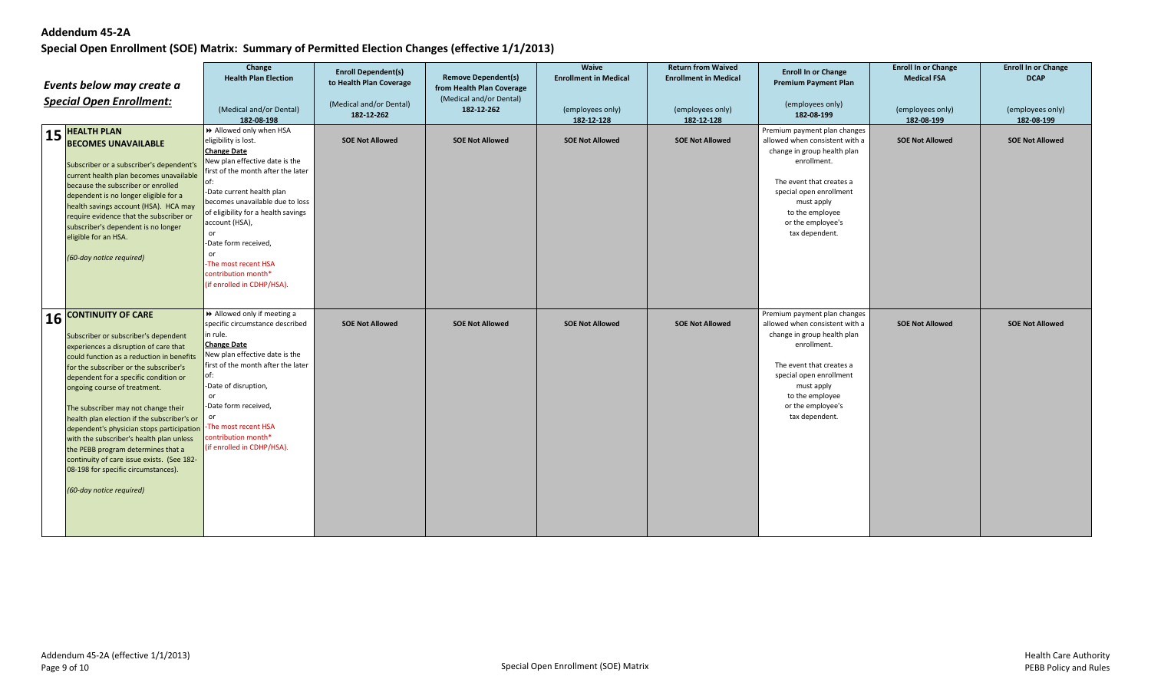| Events below may create a<br><b>Special Open Enrollment:</b> |                                                                                                                                                                                                                                                                                                                                                                                                                                                                                                                                                                                                                  | Change<br><b>Health Plan Election</b><br>(Medical and/or Dental)<br>182-08-198                                                                                                                                                                                                                                                                                                              | <b>Enroll Dependent(s)</b><br>to Health Plan Coverage<br>(Medical and/or Dental)<br>182-12-262 | <b>Remove Dependent(s)</b><br>from Health Plan Coverage<br>(Medical and/or Dental)<br>182-12-262 | <b>Waive</b><br><b>Enrollment in Medical</b><br>(employees only)<br>182-12-128 | <b>Return from Waived</b><br><b>Enrollment in Medical</b><br>(employees only)<br>182-12-128 | <b>Enroll In or Change</b><br><b>Premium Payment Plan</b><br>(employees only)<br>182-08-199                                                                                                                                                 | <b>Enroll In or Change</b><br><b>Medical FSA</b><br>(employees only)<br>182-08-199 | <b>Enroll In or Change</b><br><b>DCAP</b><br>(employees only)<br>182-08-199 |
|--------------------------------------------------------------|------------------------------------------------------------------------------------------------------------------------------------------------------------------------------------------------------------------------------------------------------------------------------------------------------------------------------------------------------------------------------------------------------------------------------------------------------------------------------------------------------------------------------------------------------------------------------------------------------------------|---------------------------------------------------------------------------------------------------------------------------------------------------------------------------------------------------------------------------------------------------------------------------------------------------------------------------------------------------------------------------------------------|------------------------------------------------------------------------------------------------|--------------------------------------------------------------------------------------------------|--------------------------------------------------------------------------------|---------------------------------------------------------------------------------------------|---------------------------------------------------------------------------------------------------------------------------------------------------------------------------------------------------------------------------------------------|------------------------------------------------------------------------------------|-----------------------------------------------------------------------------|
|                                                              | $15$ <b>HEALTH PLAN</b><br><b>BECOMES UNAVAILABLE</b><br>Subscriber or a subscriber's dependent's<br>current health plan becomes unavailable<br>because the subscriber or enrolled<br>dependent is no longer eligible for a<br>health savings account (HSA). HCA may<br>require evidence that the subscriber or<br>subscriber's dependent is no longer<br>eligible for an HSA.<br>(60-day notice required)                                                                                                                                                                                                       | Allowed only when HSA<br>eligibility is lost.<br><b>Change Date</b><br>New plan effective date is the<br>first of the month after the later<br>of:<br>-Date current health plan<br>becomes unavailable due to loss<br>of eligibility for a health savings<br>account (HSA),<br>or<br>-Date form received,<br>or<br>The most recent HSA<br>contribution month*<br>(if enrolled in CDHP/HSA). | <b>SOE Not Allowed</b>                                                                         | <b>SOE Not Allowed</b>                                                                           | <b>SOE Not Allowed</b>                                                         | <b>SOE Not Allowed</b>                                                                      | Premium payment plan changes<br>allowed when consistent with a<br>change in group health plan<br>enrollment.<br>The event that creates a<br>special open enrollment<br>must apply<br>to the employee<br>or the employee's<br>tax dependent. | <b>SOE Not Allowed</b>                                                             | <b>SOE Not Allowed</b>                                                      |
| 16                                                           | <b>CONTINUITY OF CARE</b><br>Subscriber or subscriber's dependent<br>experiences a disruption of care that<br>could function as a reduction in benefits<br>for the subscriber or the subscriber's<br>dependent for a specific condition or<br>ongoing course of treatment.<br>The subscriber may not change their<br>health plan election if the subscriber's or<br>dependent's physician stops participation<br>with the subscriber's health plan unless<br>the PEBB program determines that a<br>continuity of care issue exists. (See 182-<br>08-198 for specific circumstances).<br>(60-day notice required) | Allowed only if meeting a<br>specific circumstance described<br>in rule.<br><b>Change Date</b><br>New plan effective date is the<br>first of the month after the later<br>of:<br>-Date of disruption,<br>or<br>-Date form received,<br>or<br>The most recent HSA<br>contribution month*<br>(if enrolled in CDHP/HSA).                                                                       | <b>SOE Not Allowed</b>                                                                         | <b>SOE Not Allowed</b>                                                                           | <b>SOE Not Allowed</b>                                                         | <b>SOE Not Allowed</b>                                                                      | Premium payment plan changes<br>allowed when consistent with a<br>change in group health plan<br>enrollment.<br>The event that creates a<br>special open enrollment<br>must apply<br>to the employee<br>or the employee's<br>tax dependent. | <b>SOE Not Allowed</b>                                                             | <b>SOE Not Allowed</b>                                                      |